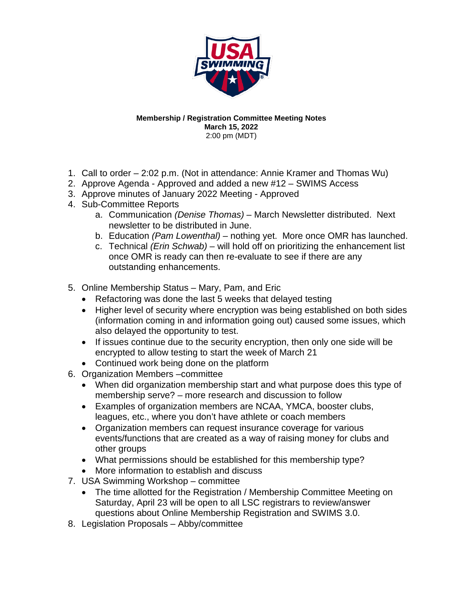

## **Membership / Registration Committee Meeting Notes March 15, 2022** 2:00 pm (MDT)

- 1. Call to order 2:02 p.m. (Not in attendance: Annie Kramer and Thomas Wu)
- 2. Approve Agenda Approved and added a new #12 SWIMS Access
- 3. Approve minutes of January 2022 Meeting Approved
- 4. Sub-Committee Reports
	- a. Communication *(Denise Thomas) –* March Newsletter distributed. Next newsletter to be distributed in June.
	- b. Education *(Pam Lowenthal) –* nothing yet. More once OMR has launched.
	- c. Technical *(Erin Schwab) –* will hold off on prioritizing the enhancement list once OMR is ready can then re-evaluate to see if there are any outstanding enhancements.
- 5. Online Membership Status Mary, Pam, and Eric
	- Refactoring was done the last 5 weeks that delayed testing
	- Higher level of security where encryption was being established on both sides (information coming in and information going out) caused some issues, which also delayed the opportunity to test.
	- If issues continue due to the security encryption, then only one side will be encrypted to allow testing to start the week of March 21
	- Continued work being done on the platform
- 6. Organization Members –committee
	- When did organization membership start and what purpose does this type of membership serve? – more research and discussion to follow
	- Examples of organization members are NCAA, YMCA, booster clubs, leagues, etc., where you don't have athlete or coach members
	- Organization members can request insurance coverage for various events/functions that are created as a way of raising money for clubs and other groups
	- What permissions should be established for this membership type?
	- More information to establish and discuss
- 7. USA Swimming Workshop committee
	- The time allotted for the Registration / Membership Committee Meeting on Saturday, April 23 will be open to all LSC registrars to review/answer questions about Online Membership Registration and SWIMS 3.0.
- 8. Legislation Proposals Abby/committee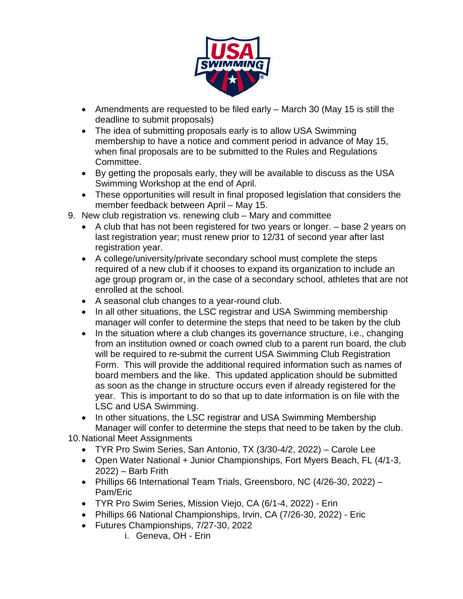

- Amendments are requested to be filed early March 30 (May 15 is still the deadline to submit proposals)
- The idea of submitting proposals early is to allow USA Swimming membership to have a notice and comment period in advance of May 15, when final proposals are to be submitted to the Rules and Regulations Committee.
- By getting the proposals early, they will be available to discuss as the USA Swimming Workshop at the end of April.
- These opportunities will result in final proposed legislation that considers the member feedback between April – May 15.
- 9. New club registration vs. renewing club Mary and committee
	- A club that has not been registered for two years or longer. base 2 years on last registration year; must renew prior to 12/31 of second year after last registration year.
	- A college/university/private secondary school must complete the steps required of a new club if it chooses to expand its organization to include an age group program or, in the case of a secondary school, athletes that are not enrolled at the school.
	- A seasonal club changes to a year-round club.
	- In all other situations, the LSC registrar and USA Swimming membership manager will confer to determine the steps that need to be taken by the club
	- In the situation where a club changes its governance structure, i.e., changing from an institution owned or coach owned club to a parent run board, the club will be required to re-submit the current USA Swimming Club Registration Form. This will provide the additional required information such as names of board members and the like. This updated application should be submitted as soon as the change in structure occurs even if already registered for the year. This is important to do so that up to date information is on file with the LSC and USA Swimming.
	- In other situations, the LSC registrar and USA Swimming Membership Manager will confer to determine the steps that need to be taken by the club.

10.National Meet Assignments

- TYR Pro Swim Series, San Antonio, TX (3/30-4/2, 2022) Carole Lee
- Open Water National + Junior Championships, Fort Myers Beach, FL (4/1-3, 2022) – Barb Frith
- Phillips 66 International Team Trials, Greensboro, NC (4/26-30, 2022) Pam/Eric
- TYR Pro Swim Series, Mission Viejo, CA (6/1-4, 2022) Erin
- Phillips 66 National Championships, Irvin, CA (7/26-30, 2022) Eric
- Futures Championships, 7/27-30, 2022
	- i. Geneva, OH Erin